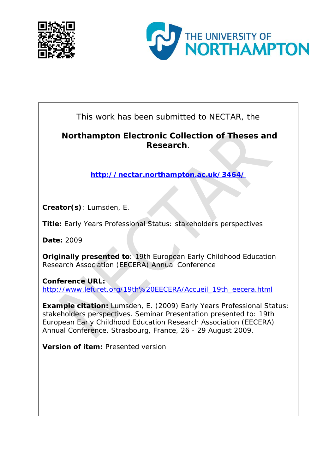



This work has been submitted to NECTAR, the

#### **Northampton Electronic Collection of Theses and Research**.

**<http://nectar.northampton.ac.uk/3464/>**

**Creator(s)**: Lumsden, E.

**Title:** Early Years Professional Status: stakeholders perspectives

**Date:** 2009

**Originally presented to**: 19th European Early Childhood Education Research Association (EECERA) Annual Conference

**Conference URL:** [http://www.lefuret.org/19th%20EECERA/Accueil\\_19th\\_eecera.html](http://www.lefuret.org/19th%20EECERA/Accueil_19th_eecera.html)

**Example citation:** Lumsden, E. (2009) Early Years Professional Status: stakeholders perspectives. Seminar Presentation presented to: *19th European Early Childhood Education Research Association (EECERA) Annual Conference, Strasbourg, France, 26 - 29 August 2009*.

**Version of item:** Presented version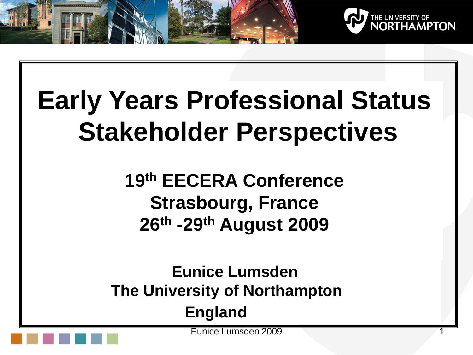



## **Early Years Professional Status Stakeholder Perspectives**

#### nwwe<br>**ourd F 19th EECERA Conference Strasbourg, France 26th -29th August 2009**

#### **Eunice Lumsden The University of Northampton England**

Eunice Lumsden 2009 1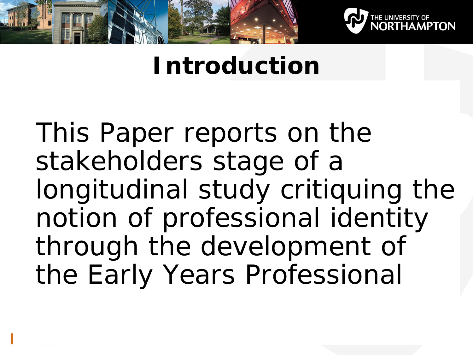



## **Introduction**

 This Paper reports on the stakeholders stage of a longitudinal study critiquing the notion of professional identity through the development of the Early Years Professional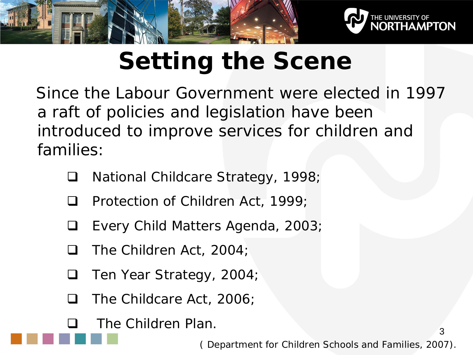



3

## **Setting the Scene**

 Since the Labour Government were elected in 1997 a raft of policies and legislation have been introduced to improve services for children and families:

- National Childcare Strategy, 1998;
- **Q** Protection of Children Act, 1999;
- Every Child Matters Agenda, 2003;
- $\Box$  The Children Act, 2004;
- Ten Year Strategy, 2004;
- The Childcare Act, 2006;
- The Children Plan.

( Department for Children Schools and Families, 2007).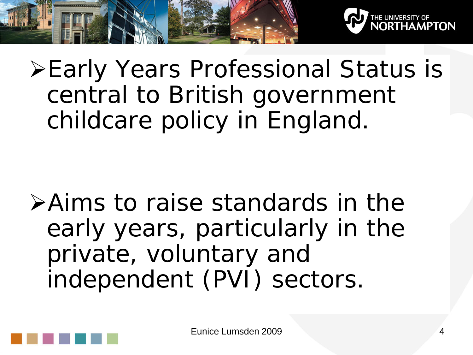

**Early Years Professional Status is** central to British government childcare policy in England.

Aims to raise standards in the early years, particularly in the private, voluntary and independent (PVI) sectors.

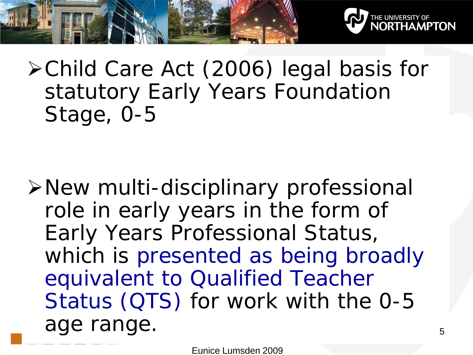



## Child Care Act (2006) legal basis for statutory Early Years Foundation Stage, 0-5

New multi-disciplinary professional role in early years in the form of Early Years Professional Status, which is *presented as being broadly equivalent to Qualified Teacher Status (QTS)* for work with the 0-5 age range.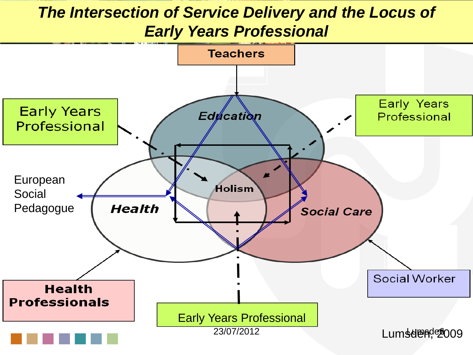#### **The Intersection of Service Delivery and the Locus of** *Early Years Professional*

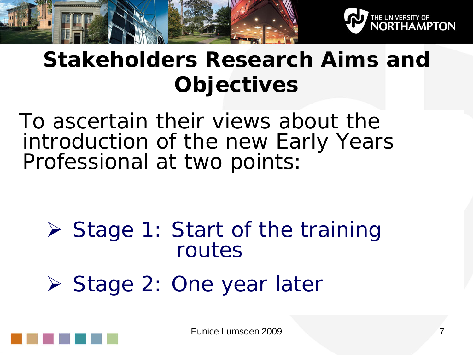

## **Stakeholders Research Aims and Objectives**

 To ascertain their views about the introduction of the new Early Years Professional at two points:

# Stage 1: S*tart of the training routes*

*Stage 2: One year later*

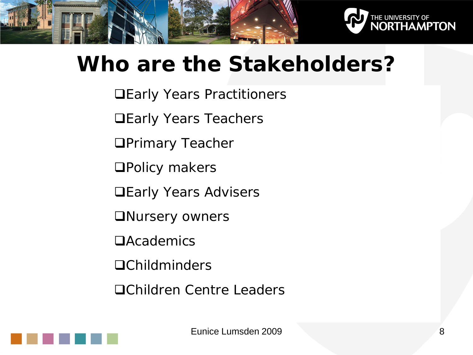



### **Who are the Stakeholders?**

- **QEarly Years Practitioners**
- **QEarly Years Teachers**
- **OPrimary Teacher**
- **QPolicy makers**
- **QEarly Years Advisers**
- **QNursery owners**
- **O**Academics
- **Ochildminders**
- Children Centre Leaders

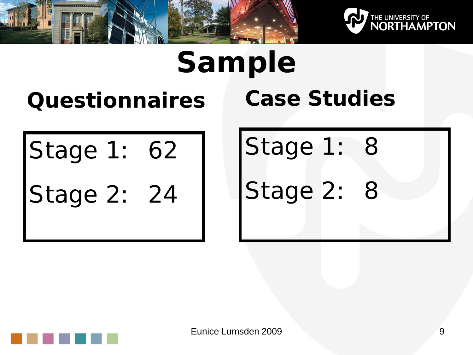





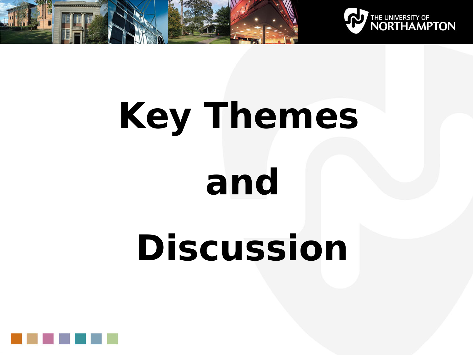



# **Key Themes and**

## **Discussion**

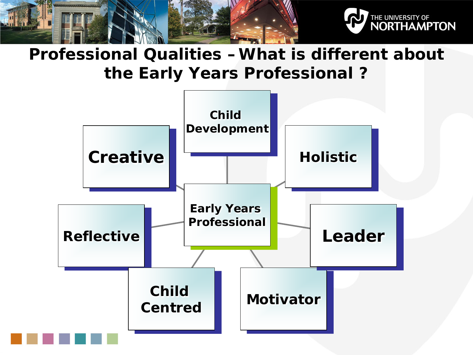

#### **Professional Qualities –What is different about the Early Years Professional ?**

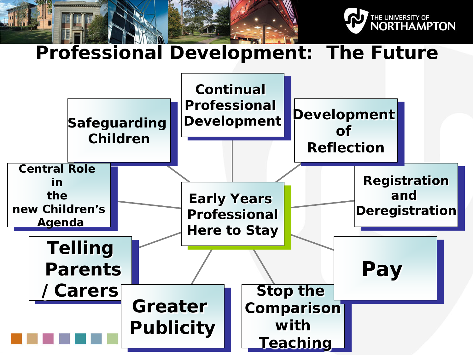

#### **Professional Development: The Future**

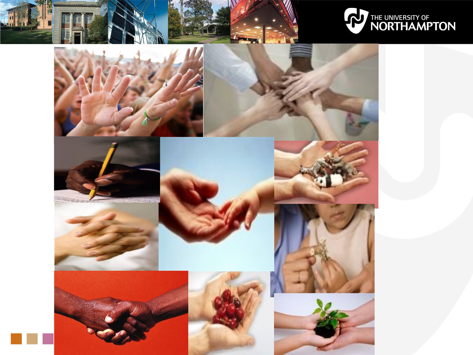